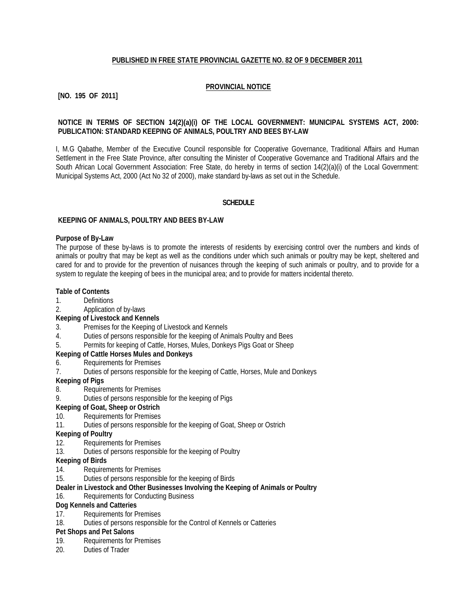### **PUBLISHED IN FREE STATE PROVINCIAL GAZETTE NO. 82 OF 9 DECEMBER 2011**

### **PROVINCIAL NOTICE**

### **[NO. 195 OF 2011]**

### **NOTICE IN TERMS OF SECTION 14(2)(a)(i) OF THE LOCAL GOVERNMENT: MUNICIPAL SYSTEMS ACT, 2000: PUBLICATION: STANDARD KEEPING OF ANIMALS, POULTRY AND BEES BY-LAW**

I, M.G Qabathe, Member of the Executive Council responsible for Cooperative Governance, Traditional Affairs and Human Settlement in the Free State Province, after consulting the Minister of Cooperative Governance and Traditional Affairs and the South African Local Government Association: Free State, do hereby in terms of section 14(2)(a)(i) of the Local Government: Municipal Systems Act, 2000 (Act No 32 of 2000), make standard by-laws as set out in the Schedule.

#### **SCHEDULE**

#### **KEEPING OF ANIMALS, POULTRY AND BEES BY-LAW**

#### **Purpose of By-Law**

The purpose of these by-laws is to promote the interests of residents by exercising control over the numbers and kinds of animals or poultry that may be kept as well as the conditions under which such animals or poultry may be kept, sheltered and cared for and to provide for the prevention of nuisances through the keeping of such animals or poultry, and to provide for a system to regulate the keeping of bees in the municipal area; and to provide for matters incidental thereto.

#### **Table of Contents**

- 1. Definitions
- 2. Application of by-laws
- **Keeping of Livestock and Kennels**
- 3. Premises for the Keeping of Livestock and Kennels
- 4. Duties of persons responsible for the keeping of Animals Poultry and Bees
- 5. Permits for keeping of Cattle, Horses, Mules, Donkeys Pigs Goat or Sheep

# **Keeping of Cattle Horses Mules and Donkeys**

- 6. Requirements for Premises
- 7. Duties of persons responsible for the keeping of Cattle, Horses, Mule and Donkeys
- **Keeping of Pigs**
- 8. Requirements for Premises
- 9. Duties of persons responsible for the keeping of Pigs
- **Keeping of Goat, Sheep or Ostrich**
- 10. Requirements for Premises
- 11. Duties of persons responsible for the keeping of Goat, Sheep or Ostrich
- **Keeping of Poultry**
- 12. Requirements for Premises
- 13. Duties of persons responsible for the keeping of Poultry

#### **Keeping of Birds**

- 14. Requirements for Premises<br>15. Duties of persons responsib
- Duties of persons responsible for the keeping of Birds

#### **Dealer in Livestock and Other Businesses Involving the Keeping of Animals or Poultry**

#### 16. Requirements for Conducting Business

#### **Dog Kennels and Catteries**

- 17. Requirements for Premises
- 18. Duties of persons responsible for the Control of Kennels or Catteries

### **Pet Shops and Pet Salons**

- 19. Requirements for Premises
- 20. Duties of Trader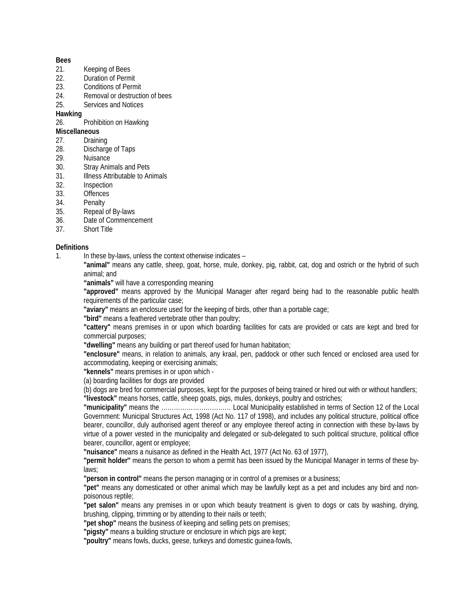#### **Bees**

- 21. Keeping of Bees
- 22. Duration of Permit
- 23. Conditions of Permit<br>24 Removal or destruction
- Removal or destruction of bees
- 25. Services and Notices

## **Hawking**

26. Prohibition on Hawking

# **Miscellaneous**

- 27. Draining
- 28. Discharge of Taps
- 29. Nuisance
- 30. Stray Animals and Pets
- 31. Illness Attributable to Animals<br>32. Inspection
- **Inspection**
- 33. Offences
- 34. Penalty
- 35. Repeal of By-laws
- 36. Date of Commencement
- 37. Short Title

### **Definitions**

- 1. In these by-laws, unless the context otherwise indicates
	- **"animal"** means any cattle, sheep, goat, horse, mule, donkey, pig, rabbit, cat, dog and ostrich or the hybrid of such animal; and

**"animals"** will have a corresponding meaning

**"approved"** means approved by the Municipal Manager after regard being had to the reasonable public health requirements of the particular case;

**"aviary"** means an enclosure used for the keeping of birds, other than a portable cage;

**"bird"** means a feathered vertebrate other than poultry;

**"cattery"** means premises in or upon which boarding facilities for cats are provided or cats are kept and bred for commercial purposes;

**"dwelling"** means any building or part thereof used for human habitation;

**"enclosure"** means, in relation to animals, any kraal, pen, paddock or other such fenced or enclosed area used for accommodating, keeping or exercising animals;

**"kennels"** means premises in or upon which -

(a) boarding facilities for dogs are provided

(b) dogs are bred for commercial purposes, kept for the purposes of being trained or hired out with or without handlers; **"livestock"** means horses, cattle, sheep goats, pigs, mules, donkeys, poultry and ostriches;

**"municipality"** means the …………………………… Local Municipality established in terms of Section 12 of the Local Government: Municipal Structures Act, 1998 (Act No. 117 of 1998), and includes any political structure, political office bearer, councillor, duly authorised agent thereof or any employee thereof acting in connection with these by-laws by virtue of a power vested in the municipality and delegated or sub-delegated to such political structure, political office bearer, councillor, agent or employee;

**"nuisance"** means a nuisance as defined in the Health Act, 1977 (Act No. 63 of 1977),

**"permit holder''** means the person to whom a permit has been issued by the Municipal Manager in terms of these bylaws;

**"person in control"** means the person managing or in control of a premises or a business;

**"pet"** means any domesticated or other animal which may be lawfully kept as a pet and includes any bird and nonpoisonous reptile;

**"pet salon"** means any premises in or upon which beauty treatment is given to dogs or cats by washing, drying, brushing, clipping, trimming or by attending to their nails or teeth;

**"pet shop"** means the business of keeping and selling pets on premises;

**"pigsty"** means a building structure or enclosure in which pigs are kept;

**"poultry"** means fowls, ducks, geese, turkeys and domestic guinea-fowls,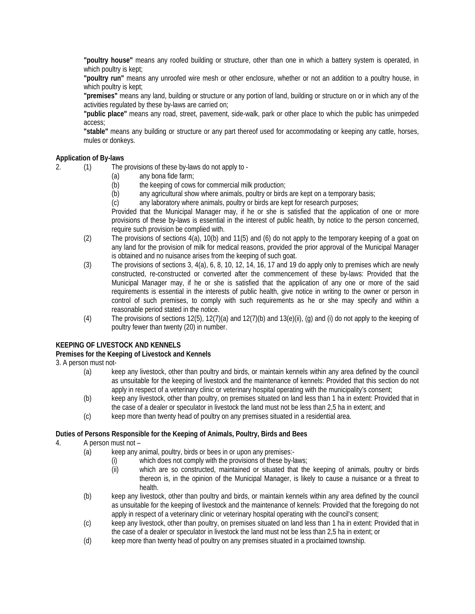**"poultry house"** means any roofed building or structure, other than one in which a battery system is operated, in which poultry is kept;

**"poultry run"** means any unroofed wire mesh or other enclosure, whether or not an addition to a poultry house, in which poultry is kept;

**"premises"** means any land, building or structure or any portion of land, building or structure on or in which any of the activities regulated by these by-laws are carried on;

**"public place"** means any road, street, pavement, side-walk, park or other place to which the public has unimpeded access;

**"stable"** means any building or structure or any part thereof used for accommodating or keeping any cattle, horses, mules or donkeys.

## **Application of By-laws**

2. (1) The provisions of these by-laws do not apply to -

- (a) any bona fide farm;<br>(b) the keeping of cows
- the keeping of cows for commercial milk production;
- (b) any agricultural show where animals, poultry or birds are kept on a temporary basis;
- (c) any laboratory where animals, poultry or birds are kept for research purposes;

Provided that the Municipal Manager may, if he or she is satisfied that the application of one or more provisions of these by-laws is essential in the interest of public health, by notice to the person concerned, require such provision be complied with.

- (2) The provisions of sections 4(a), 10(b) and 11(5) and (6) do not apply to the temporary keeping of a goat on any land for the provision of milk for medical reasons, provided the prior approval of the Municipal Manager is obtained and no nuisance arises from the keeping of such goat.
- (3) The provisions of sections 3, 4(a), 6, 8, 10, 12, 14, 16, 17 and 19 do apply only to premises which are newly constructed, re-constructed or converted after the commencement of these by-laws: Provided that the Municipal Manager may, if he or she is satisfied that the application of any one or more of the said requirements is essential in the interests of public health, give notice in writing to the owner or person in control of such premises, to comply with such requirements as he or she may specify and within a reasonable period stated in the notice.
- (4) The provisions of sections  $12(5)$ ,  $12(7)(a)$  and  $12(7)(b)$  and  $13(e)(ii)$ , (g) and (i) do not apply to the keeping of poultry fewer than twenty (20) in number.

### **KEEPING OF LIVESTOCK AND KENNELS**

#### **Premises for the Keeping of Livestock and Kennels**

3. A person must not-

- (a) keep any livestock, other than poultry and birds, or maintain kennels within any area defined by the council as unsuitable for the keeping of livestock and the maintenance of kennels: Provided that this section do not apply in respect of a veterinary clinic or veterinary hospital operating with the municipality's consent;
- (b) keep any livestock, other than poultry, on premises situated on land less than 1 ha in extent: Provided that in the case of a dealer or speculator in livestock the land must not be less than 2,5 ha in extent; and
- (c) keep more than twenty head of poultry on any premises situated in a residential area.

#### **Duties of Persons Responsible for the Keeping of Animals, Poultry, Birds and Bees**

- 4. A person must not
	- (a) keep any animal, poultry, birds or bees in or upon any premises:-
		- (i) which does not comply with the provisions of these by-laws;
		- (ii) which are so constructed, maintained or situated that the keeping of animals, poultry or birds thereon is, in the opinion of the Municipal Manager, is likely to cause a nuisance or a threat to health.
	- (b) keep any livestock, other than poultry and birds, or maintain kennels within any area defined by the council as unsuitable for the keeping of livestock and the maintenance of kennels: Provided that the foregoing do not apply in respect of a veterinary clinic or veterinary hospital operating with the council's consent;
	- (c) keep any livestock, other than poultry, on premises situated on land less than 1 ha in extent: Provided that in the case of a dealer or speculator in livestock the land must not be less than 2,5 ha in extent; or
	- (d) keep more than twenty head of poultry on any premises situated in a proclaimed township.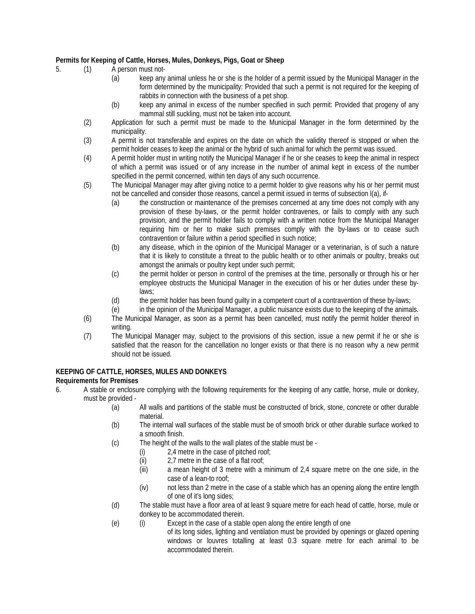# **Permits for Keeping of Cattle, Horses, Mules, Donkeys, Pigs, Goat or Sheep**

- 5. (1) A person must not-
	- (a) keep any animal unless he or she is the holder of a permit issued by the Municipal Manager in the form determined by the municipality: Provided that such a permit is not required for the keeping of rabbits in connection with the business of a pet shop.
	- (b) keep any animal in excess of the number specified in such permit: Provided that progeny of any mammal still suckling, must not be taken into account.
	- (2) Application for such a permit must be made to the Municipal Manager in the form determined by the municipality.
	- (3) A permit is not transferable and expires on the date on which the validity thereof is stopped or when the permit holder ceases to keep the animal or the hybrid of such animal for which the permit was issued.
	- (4) A permit holder must in writing notify the Municipal Manager if he or she ceases to keep the animal in respect of which a permit was issued or of any increase in the number of animal kept in excess of the number specified in the permit concerned, within ten days of any such occurrence.
	- (5) The Municipal Manager may after giving notice to a permit holder to give reasons why his or her permit must not be cancelled and consider those reasons, cancel a permit issued in terms of subsection l(a), if-
		- (a) the construction or maintenance of the premises concerned at any time does not comply with any provision of these by-laws, or the permit holder contravenes, or fails to comply with any such provision, and the permit holder fails to comply with a written notice from the Municipal Manager requiring him or her to make such premises comply with the by-laws or to cease such contravention or failure within a period specified in such notice;
		- (b) any disease, which in the opinion of the Municipal Manager or a veterinarian, is of such a nature that it is likely to constitute a threat to the public health or to other animals or poultry, breaks out amongst the animals or poultry kept under such permit;
		- (c) the permit holder or person in control of the premises at the time, personally or through his or her employee obstructs the Municipal Manager in the execution of his or her duties under these bylaws;
		- (d) the permit holder has been found guilty in a competent court of a contravention of these by-laws;
		- (e) in the opinion of the Municipal Manager, a public nuisance exists due to the keeping of the animals.
	- (6) The Municipal Manager, as soon as a permit has been cancelled, must notify the permit holder thereof in writing.
	- (7) The Municipal Manager may, subject to the provisions of this section, issue a new permit if he or she is satisfied that the reason for the cancellation no longer exists or that there is no reason why a new permit should not be issued.

#### **KEEPING OF CATTLE, HORSES, MULES AND DONKEYS Requirements for Premises**

- 6. A stable or enclosure complying with the following requirements for the keeping of any cattle, horse, mule or donkey, must be provided -
	- (a) All walls and partitions of the stable must be constructed of brick, stone, concrete or other durable material.
	- (b) The internal wall surfaces of the stable must be of smooth brick or other durable surface worked to a smooth finish.
	- (c) The height of the walls to the wall plates of the stable must be
		- (i) 2,4 metre in the case of pitched roof;
		- (ii) 2,7 metre in the case of a flat roof;
		- (iii) a mean height of 3 metre with a minimum of 2,4 square metre on the one side, in the case of a lean-to roof;
		- (iv) not less than 2 metre in the case of a stable which has an opening along the entire length of one of it's long sides;
	- (d) The stable must have a floor area of at least 9 square metre for each head of cattle, horse, mule or donkey to be accommodated therein.
	- (e) (i) Except in the case of a stable open along the entire length of one
		- of its long sides, lighting and ventilation must be provided by openings or glazed opening windows or louvres totalling at least 0.3 square metre for each animal to be accommodated therein.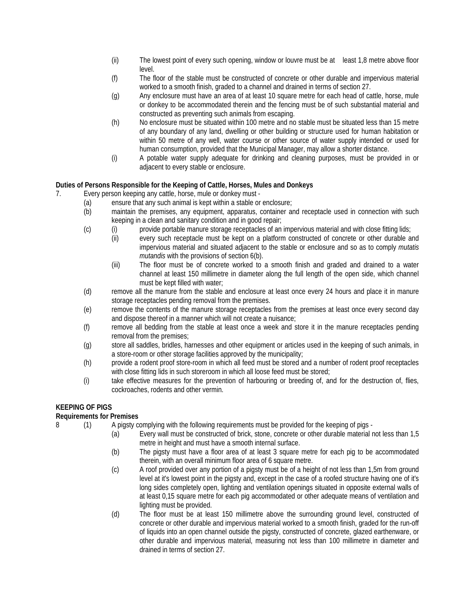- (ii) The lowest point of every such opening, window or louvre must be at least 1,8 metre above floor level.
- (f) The floor of the stable must be constructed of concrete or other durable and impervious material worked to a smooth finish, graded to a channel and drained in terms of section 27.
- (g) Any enclosure must have an area of at least 10 square metre for each head of cattle, horse, mule or donkey to be accommodated therein and the fencing must be of such substantial material and constructed as preventing such animals from escaping.
- (h) No enclosure must be situated within 100 metre and no stable must be situated less than 15 metre of any boundary of any land, dwelling or other building or structure used for human habitation or within 50 metre of any well, water course or other source of water supply intended or used for human consumption, provided that the Municipal Manager, may allow a shorter distance.
- (i) A potable water supply adequate for drinking and cleaning purposes, must be provided in or adjacent to every stable or enclosure.

## **Duties of Persons Responsible for the Keeping of Cattle, Horses, Mules and Donkeys**

- 7. Every person keeping any cattle, horse, mule or donkey must
	- (a) ensure that any such animal is kept within a stable or enclosure;
	- (b) maintain the premises, any equipment, apparatus, container and receptacle used in connection with such keeping in a clean and sanitary condition and in good repair;
	- (c) (i) provide portable manure storage receptacles of an impervious material and with close fitting lids;
		- (ii) every such receptacle must be kept on a platform constructed of concrete or other durable and impervious material and situated adjacent to the stable or enclosure and so as to comply *mutatis mutandis* with the provisions of section 6(b).
			- (iii) The floor must be of concrete worked to a smooth finish and graded and drained to a water channel at least 150 millimetre in diameter along the full length of the open side, which channel must be kept filled with water;
	- (d) remove all the manure from the stable and enclosure at least once every 24 hours and place it in manure storage receptacles pending removal from the premises.
	- (e) remove the contents of the manure storage receptacles from the premises at least once every second day and dispose thereof in a manner which will not create a nuisance;
	- (f) remove all bedding from the stable at least once a week and store it in the manure receptacles pending removal from the premises;
	- (g) store all saddles, bridles, harnesses and other equipment or articles used in the keeping of such animals, in a store-room or other storage facilities approved by the municipality;
	- (h) provide a rodent proof store-room in which all feed must be stored and a number of rodent proof receptacles with close fitting lids in such storeroom in which all loose feed must be stored;
	- (i) take effective measures for the prevention of harbouring or breeding of, and for the destruction of, flies, cockroaches, rodents and other vermin.

## **KEEPING OF PIGS**

## **Requirements for Premises**

- 8 (1) A pigsty complying with the following requirements must be provided for the keeping of pigs
	- (a) Every wall must be constructed of brick, stone, concrete or other durable material not less than 1,5 metre in height and must have a smooth internal surface.
	- (b) The pigsty must have a floor area of at least 3 square metre for each pig to be accommodated therein, with an overall minimum floor area of 6 square metre.
	- (c) A roof provided over any portion of a pigsty must be of a height of not less than 1,5m from ground level at it's lowest point in the pigsty and, except in the case of a roofed structure having one of it's long sides completely open, lighting and ventilation openings situated in opposite external walls of at least 0,15 square metre for each pig accommodated or other adequate means of ventilation and lighting must be provided.
	- (d) The floor must be at least 150 millimetre above the surrounding ground level, constructed of concrete or other durable and impervious material worked to a smooth finish, graded for the run-off of liquids into an open channel outside the pigsty, constructed of concrete, glazed earthenware, or other durable and impervious material, measuring not less than 100 millimetre in diameter and drained in terms of section 27.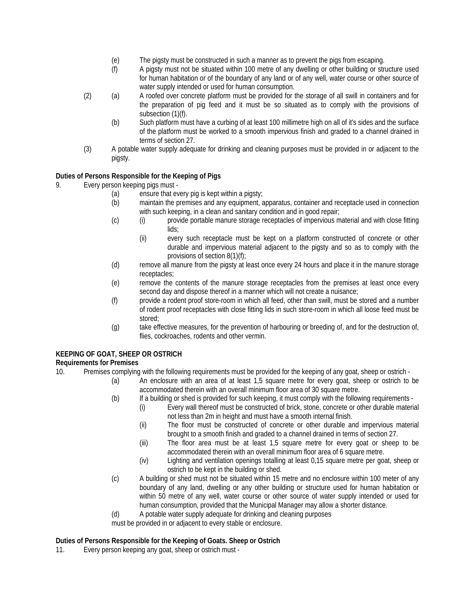- (e) The pigsty must be constructed in such a manner as to prevent the pigs from escaping.
- (f) A pigsty must not be situated within 100 metre of any dwelling or other building or structure used for human habitation or of the boundary of any land or of any well, water course or other source of water supply intended or used for human consumption.
- (2) (a) A roofed over concrete platform must be provided for the storage of all swill in containers and for the preparation of pig feed and it must be so situated as to comply with the provisions of subsection (1)(f).
	- (b) Such platform must have a curbing of at least 100 millimetre high on all of it's sides and the surface of the platform must be worked to a smooth impervious finish and graded to a channel drained in terms of section 27.
- (3) A potable water supply adequate for drinking and cleaning purposes must be provided in or adjacent to the pigsty.

## **Duties of Persons Responsible for the Keeping of Pigs**

- 9. Every person keeping pigs must
	- (a) ensure that every pig is kept within a pigsty;
	- (b) maintain the premises and any equipment, apparatus, container and receptacle used in connection with such keeping, in a clean and sanitary condition and in good repair;
	- (c) (i) provide portable manure storage receptacles of impervious material and with close fitting lids;
		- (ii) every such receptacle must be kept on a platform constructed of concrete or other durable and impervious material adjacent to the pigsty and so as to comply with the provisions of section 8(1)(f);
	- (d) remove all manure from the pigsty at least once every 24 hours and place it in the manure storage receptacles;
	- (e) remove the contents of the manure storage receptacles from the premises at least once every second day and dispose thereof in a manner which will not create a nuisance;
	- (f) provide a rodent proof store-room in which all feed, other than swill, must be stored and a number of rodent proof receptacles with close fitting lids in such store-room in which all loose feed must be stored;
	- (g) take effective measures, for the prevention of harbouring or breeding of, and for the destruction of, flies, cockroaches, rodents and other vermin.

## **KEEPING OF GOAT, SHEEP OR OSTRICH**

## **Requirements for Premises**

- 10. Premises complying with the following requirements must be provided for the keeping of any goat, sheep or ostrich
	- (a) An enclosure with an area of at least 1,5 square metre for every goat, sheep or ostrich to be accommodated therein with an overall minimum floor area of 30 square metre.
	- (b) If a building or shed is provided for such keeping, it must comply with the following requirements
		- (i) Every wall thereof must be constructed of brick, stone, concrete or other durable material not less than 2m in height and must have a smooth internal finish.
		- (ii) The floor must be constructed of concrete or other durable and impervious material brought to a smooth finish and graded to a channel drained in terms of section 27.
		- (iii) The floor area must be at least 1,5 square metre for every goat or sheep to be accommodated therein with an overall minimum floor area of 6 square metre.
		- (iv) Lighting and ventilation openings totalling at least 0,15 square metre per goat, sheep or ostrich to be kept in the building or shed.
	- (c) A building or shed must not be situated within 15 metre and no enclosure within 100 meter of any boundary of any land, dwelling or any other building or structure used for human habitation or within 50 metre of any well, water course or other source of water supply intended or used for human consumption, provided that the Municipal Manager may allow a shorter distance.
	- (d) A potable water supply adequate for drinking and cleaning purposes

must be provided in or adjacent to every stable or enclosure.

#### **Duties of Persons Responsible for the Keeping of Goats. Sheep or Ostrich**

11. Every person keeping any goat, sheep or ostrich must -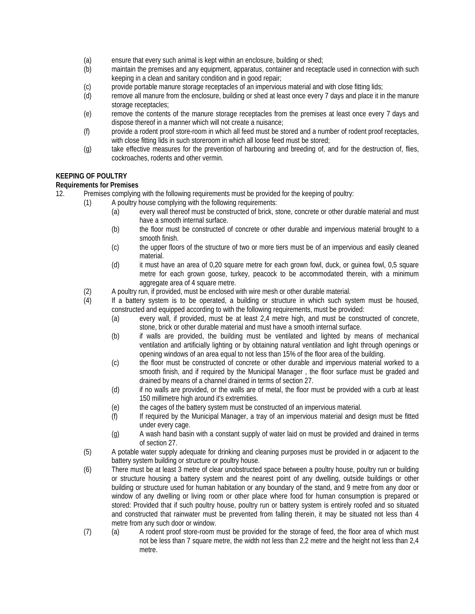- (a) ensure that every such animal is kept within an enclosure, building or shed;
- (b) maintain the premises and any equipment, apparatus, container and receptacle used in connection with such keeping in a clean and sanitary condition and in good repair;
- (c) provide portable manure storage receptacles of an impervious material and with close fitting lids;
- (d) remove all manure from the enclosure, building or shed at least once every 7 days and place it in the manure storage receptacles;
- (e) remove the contents of the manure storage receptacles from the premises at least once every 7 days and dispose thereof in a manner which will not create a nuisance;
- (f) provide a rodent proof store-room in which all feed must be stored and a number of rodent proof receptacles, with close fitting lids in such storeroom in which all loose feed must be stored;
- (g) take effective measures for the prevention of harbouring and breeding of, and for the destruction of, flies, cockroaches, rodents and other vermin.

### **KEEPING OF POULTRY**

# **Requirements for Premises**

12. Premises complying with the following requirements must be provided for the keeping of poultry:

- (1) A poultry house complying with the following requirements:
	- (a) every wall thereof must be constructed of brick, stone, concrete or other durable material and must have a smooth internal surface.
	- (b) the floor must be constructed of concrete or other durable and impervious material brought to a smooth finish.
	- (c) the upper floors of the structure of two or more tiers must be of an impervious and easily cleaned material.
	- (d) it must have an area of 0,20 square metre for each grown fowl, duck, or guinea fowl, 0,5 square metre for each grown goose, turkey, peacock to be accommodated therein, with a minimum aggregate area of 4 square metre.
- (2) A poultry run, if provided, must be enclosed with wire mesh or other durable material.
- (4) If a battery system is to be operated, a building or structure in which such system must be housed, constructed and equipped according to with the following requirements, must be provided:
	- (a) every wall, if provided, must be at least 2,4 metre high, and must be constructed of concrete, stone, brick or other durable material and must have a smooth internal surface.
	- (b) if walls are provided, the building must be ventilated and lighted by means of mechanical ventilation and artificially lighting or by obtaining natural ventilation and light through openings or opening windows of an area equal to not less than 15% of the floor area of the building.
	- (c) the floor must be constructed of concrete or other durable and impervious material worked to a smooth finish, and if required by the Municipal Manager , the floor surface must be graded and drained by means of a channel drained in terms of section 27.
	- (d) if no walls are provided, or the walls are of metal, the floor must be provided with a curb at least 150 millimetre high around it's extremities.
	- (e) the cages of the battery system must be constructed of an impervious material.
	- (f) If required by the Municipal Manager, a tray of an impervious material and design must be fitted under every cage.
	- (g) A wash hand basin with a constant supply of water laid on must be provided and drained in terms of section 27.
- (5) A potable water supply adequate for drinking and cleaning purposes must be provided in or adjacent to the battery system building or structure or poultry house.
- (6) There must be at least 3 metre of clear unobstructed space between a poultry house, poultry run or building or structure housing a battery system and the nearest point of any dwelling, outside buildings or other building or structure used for human habitation or any boundary of the stand, and 9 metre from any door or window of any dwelling or living room or other place where food for human consumption is prepared or stored: Provided that if such poultry house, poultry run or battery system is entirely roofed and so situated and constructed that rainwater must be prevented from falling therein, it may be situated not less than 4 metre from any such door or window.
- (7) (a) A rodent proof store-room must be provided for the storage of feed, the floor area of which must not be less than 7 square metre, the width not less than 2,2 metre and the height not less than 2,4 metre.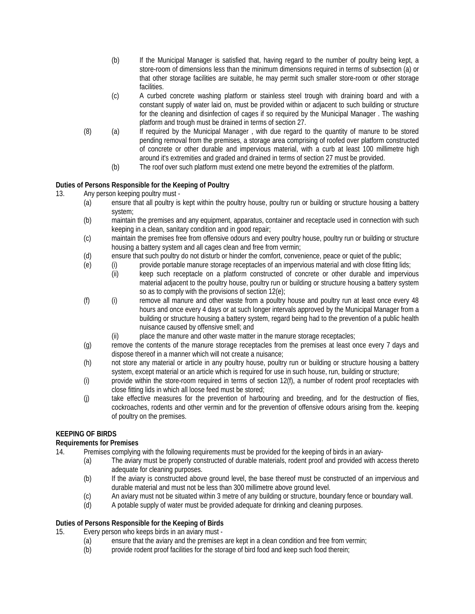- (b) If the Municipal Manager is satisfied that, having regard to the number of poultry being kept, a store-room of dimensions less than the minimum dimensions required in terms of subsection (a) or that other storage facilities are suitable, he may permit such smaller store-room or other storage facilities.
- (c) A curbed concrete washing platform or stainless steel trough with draining board and with a constant supply of water laid on, must be provided within or adjacent to such building or structure for the cleaning and disinfection of cages if so required by the Municipal Manager . The washing platform and trough must be drained in terms of section 27.
- (8) (a) If required by the Municipal Manager , with due regard to the quantity of manure to be stored pending removal from the premises, a storage area comprising of roofed over platform constructed of concrete or other durable and impervious material, with a curb at least 100 millimetre high around it's extremities and graded and drained in terms of section 27 must be provided.
	- (b) The roof over such platform must extend one metre beyond the extremities of the platform.

# **Duties of Persons Responsible for the Keeping of Poultry**

13. Any person keeping poultry must -

- (a) ensure that all poultry is kept within the poultry house, poultry run or building or structure housing a battery system;
- (b) maintain the premises and any equipment, apparatus, container and receptacle used in connection with such keeping in a clean, sanitary condition and in good repair;
- (c) maintain the premises free from offensive odours and every poultry house, poultry run or building or structure housing a battery system and all cages clean and free from vermin;
- (d) ensure that such poultry do not disturb or hinder the comfort, convenience, peace or quiet of the public;
- (e) (i) provide portable manure storage receptacles of an impervious material and with close fitting lids;<br>(ii) leep such receptacle on a platform constructed of concrete or other durable and impervio
	- keep such receptacle on a platform constructed of concrete or other durable and impervious material adjacent to the poultry house, poultry run or building or structure housing a battery system so as to comply with the provisions of section 12(e);
- (f) (i) remove all manure and other waste from a poultry house and poultry run at least once every 48 hours and once every 4 days or at such longer intervals approved by the Municipal Manager from a building or structure housing a battery system, regard being had to the prevention of a public health nuisance caused by offensive smell; and
	- (ii) place the manure and other waste matter in the manure storage receptacles;
- (g) remove the contents of the manure storage receptacles from the premises at least once every 7 days and dispose thereof in a manner which will not create a nuisance;
- (h) not store any material or article in any poultry house, poultry run or building or structure housing a battery system, except material or an article which is required for use in such house, run, building or structure;
- (i) provide within the store-room required in terms of section 12(f), a number of rodent proof receptacles with close fitting lids in which all loose feed must be stored;
- (j) take effective measures for the prevention of harbouring and breeding, and for the destruction of flies, cockroaches, rodents and other vermin and for the prevention of offensive odours arising from the. keeping of poultry on the premises.

## **KEEPING OF BIRDS**

## **Requirements for Premises**

- 14. Premises complying with the following requirements must be provided for the keeping of birds in an aviary-
	- (a) The aviary must be properly constructed of durable materials, rodent proof and provided with access thereto adequate for cleaning purposes.
	- (b) If the aviary is constructed above ground level, the base thereof must be constructed of an impervious and durable material and must not be less than 300 millimetre above ground level.
	- (c) An aviary must not be situated within 3 metre of any building or structure, boundary fence or boundary wall.
	- (d) A potable supply of water must be provided adequate for drinking and cleaning purposes.

## **Duties of Persons Responsible for the Keeping of Birds**

15. Every person who keeps birds in an aviary must -

- (a) ensure that the aviary and the premises are kept in a clean condition and free from vermin;
- (b) provide rodent proof facilities for the storage of bird food and keep such food therein;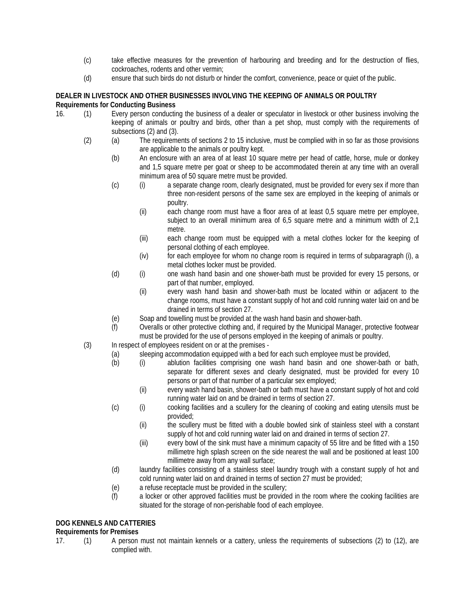- (c) take effective measures for the prevention of harbouring and breeding and for the destruction of flies, cockroaches, rodents and other vermin;
- (d) ensure that such birds do not disturb or hinder the comfort, convenience, peace or quiet of the public.

## **DEALER IN LIVESTOCK AND OTHER BUSINESSES INVOLVING THE KEEPING OF ANIMALS OR POULTRY Requirements for Conducting Business**

- 16. (1) Every person conducting the business of a dealer or speculator in livestock or other business involving the keeping of animals or poultry and birds, other than a pet shop, must comply with the requirements of subsections (2) and (3).
	- (2) (a) The requirements of sections 2 to 15 inclusive, must be complied with in so far as those provisions are applicable to the animals or poultry kept.
		- (b) An enclosure with an area of at least 10 square metre per head of cattle, horse, mule or donkey and 1,5 square metre per goat or sheep to be accommodated therein at any time with an overall minimum area of 50 square metre must be provided.
		- (c) (i) a separate change room, clearly designated, must be provided for every sex if more than three non-resident persons of the same sex are employed in the keeping of animals or poultry.
			- (ii) each change room must have a floor area of at least 0,5 square metre per employee, subject to an overall minimum area of 6,5 square metre and a minimum width of 2,1 metre.
			- (iii) each change room must be equipped with a metal clothes locker for the keeping of personal clothing of each employee.
			- (iv) for each employee for whom no change room is required in terms of subparagraph (i), a metal clothes locker must be provided.
		- (d) (i) one wash hand basin and one shower-bath must be provided for every 15 persons, or part of that number, employed.
			- (ii) every wash hand basin and shower-bath must be located within or adjacent to the change rooms, must have a constant supply of hot and cold running water laid on and be drained in terms of section 27.
		- (e) Soap and towelling must be provided at the wash hand basin and shower-bath.
		- (f) Overalls or other protective clothing and, if required by the Municipal Manager, protective footwear must be provided for the use of persons employed in the keeping of animals or poultry.
	- (3) In respect of employees resident on or at the premises
		- (a) sleeping accommodation equipped with a bed for each such employee must be provided,<br>(b) (i) ablution facilities comprising one wash hand basin and one shower-bath
			- (b) (i) ablution facilities comprising one wash hand basin and one shower-bath or bath, separate for different sexes and clearly designated, must be provided for every 10 persons or part of that number of a particular sex employed;
				- (ii) every wash hand basin, shower-bath or bath must have a constant supply of hot and cold running water laid on and be drained in terms of section 27.
			- (c) (i) cooking facilities and a scullery for the cleaning of cooking and eating utensils must be provided;
				- (ii) the scullery must be fitted with a double bowled sink of stainless steel with a constant supply of hot and cold running water laid on and drained in terms of section 27.
				- (iii) every bowl of the sink must have a minimum capacity of 55 litre and be fitted with a 150 millimetre high splash screen on the side nearest the wall and be positioned at least 100 millimetre away from any wall surface;
			- (d) laundry facilities consisting of a stainless steel laundry trough with a constant supply of hot and cold running water laid on and drained in terms of section 27 must be provided;
			- (e) a refuse receptacle must be provided in the scullery;
			- (f) a locker or other approved facilities must be provided in the room where the cooking facilities are situated for the storage of non-perishable food of each employee.

# **DOG KENNELS AND CATTERIES**

## **Requirements for Premises**

- 
- 17. (1) A person must not maintain kennels or a cattery, unless the requirements of subsections (2) to (12), are complied with.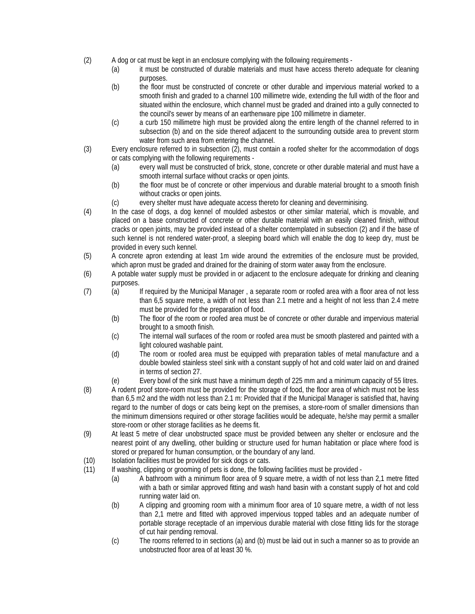- (2) A dog or cat must be kept in an enclosure complying with the following requirements
	- (a) it must be constructed of durable materials and must have access thereto adequate for cleaning purposes.
	- (b) the floor must be constructed of concrete or other durable and impervious material worked to a smooth finish and graded to a channel 100 millimetre wide, extending the full width of the floor and situated within the enclosure, which channel must be graded and drained into a gully connected to the council's sewer by means of an earthenware pipe 100 millimetre in diameter.
	- (c) a curb 150 millimetre high must be provided along the entire length of the channel referred to in subsection (b) and on the side thereof adjacent to the surrounding outside area to prevent storm water from such area from entering the channel.
- (3) Every enclosure referred to in subsection (2), must contain a roofed shelter for the accommodation of dogs or cats complying with the following requirements -
	- (a) every wall must be constructed of brick, stone, concrete or other durable material and must have a smooth internal surface without cracks or open joints.
	- (b) the floor must be of concrete or other impervious and durable material brought to a smooth finish without cracks or open joints.
	- (c) every shelter must have adequate access thereto for cleaning and deverminising.
- (4) In the case of dogs, a dog kennel of moulded asbestos or other similar material, which is movable, and placed on a base constructed of concrete or other durable material with an easily cleaned finish, without cracks or open joints, may be provided instead of a shelter contemplated in subsection (2) and if the base of such kennel is not rendered water-proof, a sleeping board which will enable the dog to keep dry, must be provided in every such kennel.
- (5) A concrete apron extending at least 1m wide around the extremities of the enclosure must be provided, which apron must be graded and drained for the draining of storm water away from the enclosure.
- (6) A potable water supply must be provided in or adjacent to the enclosure adequate for drinking and cleaning purposes.
- (7) (a) If required by the Municipal Manager , a separate room or roofed area with a floor area of not less than 6,5 square metre, a width of not less than 2.1 metre and a height of not less than 2.4 metre must be provided for the preparation of food.
	- (b) The floor of the room or roofed area must be of concrete or other durable and impervious material brought to a smooth finish.
	- (c) The internal wall surfaces of the room or roofed area must be smooth plastered and painted with a light coloured washable paint.
	- (d) The room or roofed area must be equipped with preparation tables of metal manufacture and a double bowled stainless steel sink with a constant supply of hot and cold water laid on and drained in terms of section 27.
	- (e) Every bowl of the sink must have a minimum depth of 225 mm and a minimum capacity of 55 litres.
- (8) A rodent proof store-room must be provided for the storage of food, the floor area of which must not be less than 6,5 m2 and the width not less than 2.1 m: Provided that if the Municipal Manager is satisfied that, having regard to the number of dogs or cats being kept on the premises, a store-room of smaller dimensions than the minimum dimensions required or other storage facilities would be adequate, he/she may permit a smaller store-room or other storage facilities as he deems fit.
- (9) At least 5 metre of clear unobstructed space must be provided between any shelter or enclosure and the nearest point of any dwelling, other building or structure used for human habitation or place where food is stored or prepared for human consumption, or the boundary of any land.
- (10) Isolation facilities must be provided for sick dogs or cats.
- (11) If washing, clipping or grooming of pets is done, the following facilities must be provided
	- (a) A bathroom with a minimum floor area of 9 square metre, a width of not less than 2,1 metre fitted with a bath or similar approved fitting and wash hand basin with a constant supply of hot and cold running water laid on.
	- (b) A clipping and grooming room with a minimum floor area of 10 square metre, a width of not less than 2,1 metre and fitted with approved impervious topped tables and an adequate number of portable storage receptacle of an impervious durable material with close fitting lids for the storage of cut hair pending removal.
	- (c) The rooms referred to in sections (a) and (b) must be laid out in such a manner so as to provide an unobstructed floor area of at least 30 %.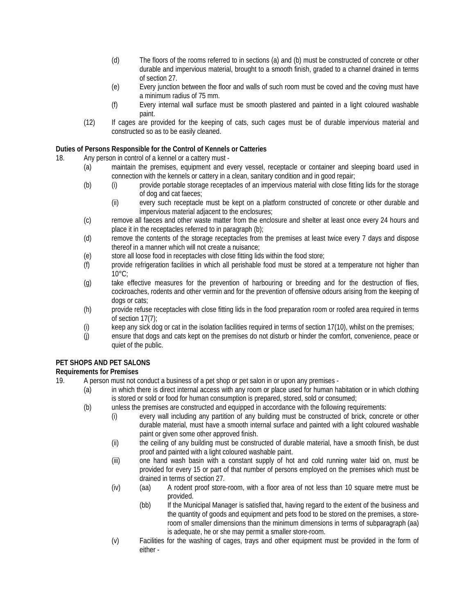- (d) The floors of the rooms referred to in sections (a) and (b) must be constructed of concrete or other durable and impervious material, brought to a smooth finish, graded to a channel drained in terms of section 27.
- (e) Every junction between the floor and walls of such room must be coved and the coving must have a minimum radius of 75 mm.
- (f) Every internal wall surface must be smooth plastered and painted in a light coloured washable paint.
- (12) If cages are provided for the keeping of cats, such cages must be of durable impervious material and constructed so as to be easily cleaned.

### **Duties of Persons Responsible for the Control of Kennels or Catteries**

- 18. Any person in control of a kennel or a cattery must
	- (a) maintain the premises, equipment and every vessel, receptacle or container and sleeping board used in connection with the kennels or cattery in a clean, sanitary condition and in good repair;
	- (b) (i) provide portable storage receptacles of an impervious material with close fitting lids for the storage of dog and cat faeces;
		- (ii) every such receptacle must be kept on a platform constructed of concrete or other durable and impervious material adjacent to the enclosures;
	- (c) remove all faeces and other waste matter from the enclosure and shelter at least once every 24 hours and place it in the receptacles referred to in paragraph (b);
	- (d) remove the contents of the storage receptacles from the premises at least twice every 7 days and dispose thereof in a manner which will not create a nuisance;
	- (e) store all loose food in receptacles with close fitting lids within the food store;
	- (f) provide refrigeration facilities in which all perishable food must be stored at a temperature not higher than 10°C;
	- (g) take effective measures for the prevention of harbouring or breeding and for the destruction of flies, cockroaches, rodents and other vermin and for the prevention of offensive odours arising from the keeping of dogs or cats;
	- (h) provide refuse receptacles with close fitting lids in the food preparation room or roofed area required in terms of section 17(7);
	- (i) keep any sick dog or cat in the isolation facilities required in terms of section 17(10), whilst on the premises;
	- (j) ensure that dogs and cats kept on the premises do not disturb or hinder the comfort, convenience, peace or quiet of the public.

## **PET SHOPS AND PET SALONS**

## **Requirements for Premises**

- 19. A person must not conduct a business of a pet shop or pet salon in or upon any premises
	- (a) in which there is direct internal access with any room or place used for human habitation or in which clothing is stored or sold or food for human consumption is prepared, stored, sold or consumed;
		- (b) unless the premises are constructed and equipped in accordance with the following requirements:
			- (i) every wall including any partition of any building must be constructed of brick, concrete or other durable material, must have a smooth internal surface and painted with a light coloured washable paint or given some other approved finish.
				- (ii) the ceiling of any building must be constructed of durable material, have a smooth finish, be dust proof and painted with a light coloured washable paint.
				- (iii) one hand wash basin with a constant supply of hot and cold running water laid on, must be provided for every 15 or part of that number of persons employed on the premises which must be drained in terms of section 27.
				- (iv) (aa) A rodent proof store-room, with a floor area of not less than 10 square metre must be provided.
					- (bb) If the Municipal Manager is satisfied that, having regard to the extent of the business and the quantity of goods and equipment and pets food to be stored on the premises, a storeroom of smaller dimensions than the minimum dimensions in terms of subparagraph (aa) is adequate, he or she may permit a smaller store-room.
				- (v) Facilities for the washing of cages, trays and other equipment must be provided in the form of either -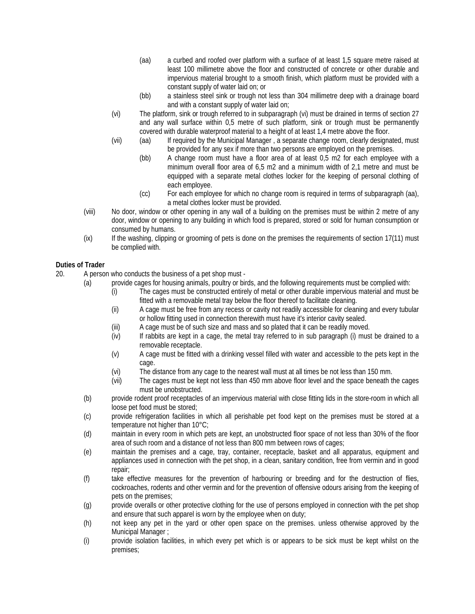- (aa) a curbed and roofed over platform with a surface of at least 1,5 square metre raised at least 100 millimetre above the floor and constructed of concrete or other durable and impervious material brought to a smooth finish, which platform must be provided with a constant supply of water laid on; or
- (bb) a stainless steel sink or trough not less than 304 millimetre deep with a drainage board and with a constant supply of water laid on;
- (vi) The platform, sink or trough referred to in subparagraph (vi) must be drained in terms of section 27 and any wall surface within 0,5 metre of such platform, sink or trough must be permanently covered with durable waterproof material to a height of at least 1,4 metre above the floor.
- (vii) (aa) If required by the Municipal Manager , a separate change room, clearly designated, must be provided for any sex if more than two persons are employed on the premises.
	- (bb) A change room must have a floor area of at least 0,5 m2 for each employee with a minimum overall floor area of 6,5 m2 and a minimum width of 2,1 metre and must be equipped with a separate metal clothes locker for the keeping of personal clothing of each employee.
	- (cc) For each employee for which no change room is required in terms of subparagraph (aa), a metal clothes locker must be provided.
- (viii) No door, window or other opening in any wall of a building on the premises must be within 2 metre of any door, window or opening to any building in which food is prepared, stored or sold for human consumption or consumed by humans.
- (ix) If the washing, clipping or grooming of pets is done on the premises the requirements of section 17(11) must be complied with.

## **Duties of Trader**

- 20. A person who conducts the business of a pet shop must
	- (a) provide cages for housing animals, poultry or birds, and the following requirements must be complied with:
		- (i) The cages must be constructed entirely of metal or other durable impervious material and must be fitted with a removable metal tray below the floor thereof to facilitate cleaning.
		- (ii) A cage must be free from any recess or cavity not readily accessible for cleaning and every tubular or hollow fitting used in connection therewith must have it's interior cavity sealed.
		- (iii) A cage must be of such size and mass and so plated that it can be readily moved.
		- (iv) If rabbits are kept in a cage, the metal tray referred to in sub paragraph (i) must be drained to a removable receptacle.
		- (v) A cage must be fitted with a drinking vessel filled with water and accessible to the pets kept in the cage.
		- (vi) The distance from any cage to the nearest wall must at all times be not less than 150 mm.
		- (vii) The cages must be kept not less than 450 mm above floor level and the space beneath the cages must be unobstructed.
	- (b) provide rodent proof receptacles of an impervious material with close fitting lids in the store-room in which all loose pet food must be stored;
	- (c) provide refrigeration facilities in which all perishable pet food kept on the premises must be stored at a temperature not higher than 10°C;
	- (d) maintain in every room in which pets are kept, an unobstructed floor space of not less than 30% of the floor area of such room and a distance of not less than 800 mm between rows of cages;
	- (e) maintain the premises and a cage, tray, container, receptacle, basket and all apparatus, equipment and appliances used in connection with the pet shop, in a clean, sanitary condition, free from vermin and in good repair;
	- (f) take effective measures for the prevention of harbouring or breeding and for the destruction of flies, cockroaches, rodents and other vermin and for the prevention of offensive odours arising from the keeping of pets on the premises;
	- (g) provide overalls or other protective clothing for the use of persons employed in connection with the pet shop and ensure that such apparel is worn by the employee when on duty;
	- (h) not keep any pet in the yard or other open space on the premises. unless otherwise approved by the Municipal Manager ;
	- (i) provide isolation facilities, in which every pet which is or appears to be sick must be kept whilst on the premises;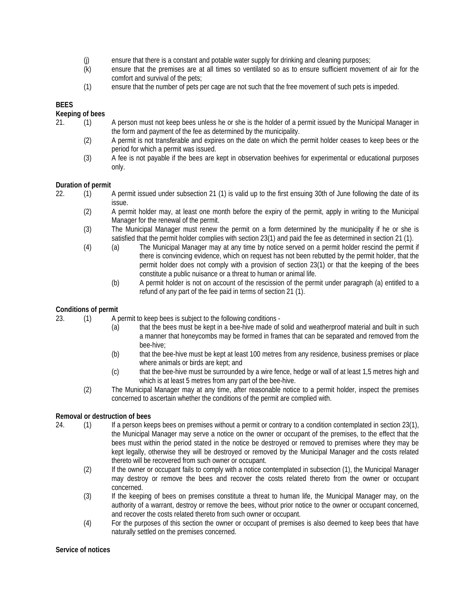- (j) ensure that there is a constant and potable water supply for drinking and cleaning purposes;<br>(k) ensure that the premises are at all times so ventilated so as to ensure sufficient moveme
- ensure that the premises are at all times so ventilated so as to ensure sufficient movement of air for the comfort and survival of the pets;
- (1) ensure that the number of pets per cage are not such that the free movement of such pets is impeded.

# **BEES**

### **Keeping of bees**

- 21. (1) A person must not keep bees unless he or she is the holder of a permit issued by the Municipal Manager in the form and payment of the fee as determined by the municipality.
	- (2) A permit is not transferable and expires on the date on which the permit holder ceases to keep bees or the period for which a permit was issued.
	- (3) A fee is not payable if the bees are kept in observation beehives for experimental or educational purposes only.

### **Duration of permit**

- 22. (1) A permit issued under subsection 21 (1) is valid up to the first ensuing 30th of June following the date of its issue.
	- (2) A permit holder may, at least one month before the expiry of the permit, apply in writing to the Municipal Manager for the renewal of the permit.
	- (3) The Municipal Manager must renew the permit on a form determined by the municipality if he or she is satisfied that the permit holder complies with section 23(1) and paid the fee as determined in section 21 (1).
	- (4) (a) The Municipal Manager may at any time by notice served on a permit holder rescind the permit if there is convincing evidence, which on request has not been rebutted by the permit holder, that the permit holder does not comply with a provision of section 23(1) or that the keeping of the bees constitute a public nuisance or a threat to human or animal life.
		- (b) A permit holder is not on account of the rescission of the permit under paragraph (a) entitled to a refund of any part of the fee paid in terms of section 21 (1).

### **Conditions of permit**

23. (1) A permit to keep bees is subject to the following conditions -

- (a) that the bees must be kept in a bee-hive made of solid and weatherproof material and built in such a manner that honeycombs may be formed in frames that can be separated and removed from the bee-hive;
- (b) that the bee-hive must be kept at least 100 metres from any residence, business premises or place where animals or birds are kept; and
- (c) that the bee-hive must be surrounded by a wire fence, hedge or wall of at least 1,5 metres high and which is at least 5 metres from any part of the bee-hive.
- (2) The Municipal Manager may at any time, after reasonable notice to a permit holder, inspect the premises concerned to ascertain whether the conditions of the permit are complied with.

#### **Removal or destruction of bees**

- 24. (1) If a person keeps bees on premises without a permit or contrary to a condition contemplated in section 23(1), the Municipal Manager may serve a notice on the owner or occupant of the premises, to the effect that the bees must within the period stated in the notice be destroyed or removed to premises where they may be kept legally, otherwise they will be destroyed or removed by the Municipal Manager and the costs related thereto will be recovered from such owner or occupant.
	- (2) If the owner or occupant fails to comply with a notice contemplated in subsection (1), the Municipal Manager may destroy or remove the bees and recover the costs related thereto from the owner or occupant concerned.
	- (3) If the keeping of bees on premises constitute a threat to human life, the Municipal Manager may, on the authority of a warrant, destroy or remove the bees, without prior notice to the owner or occupant concerned, and recover the costs related thereto from such owner or occupant.
	- (4) For the purposes of this section the owner or occupant of premises is also deemed to keep bees that have naturally settled on the premises concerned.

#### **Service of notices**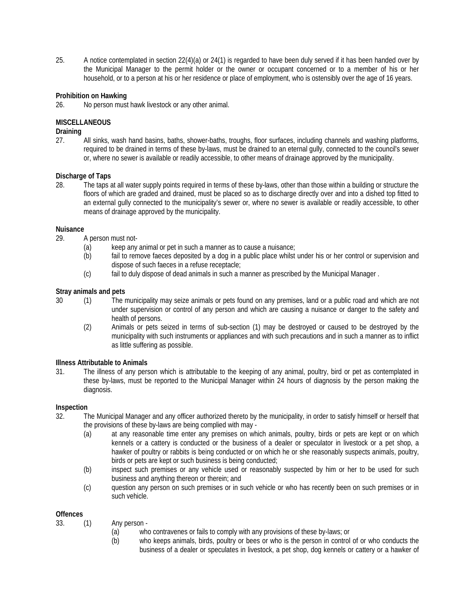25. A notice contemplated in section 22(4)(a) or 24(1) is regarded to have been duly served if it has been handed over by the Municipal Manager to the permit holder or the owner or occupant concerned or to a member of his or her household, or to a person at his or her residence or place of employment, who is ostensibly over the age of 16 years.

### **Prohibition on Hawking**

26. No person must hawk livestock or any other animal.

### **MISCELLANEOUS**

### **Draining**

27. All sinks, wash hand basins, baths, shower-baths, troughs, floor surfaces, including channels and washing platforms, required to be drained in terms of these by-laws, must be drained to an eternal gully, connected to the council's sewer or, where no sewer is available or readily accessible, to other means of drainage approved by the municipality.

#### **Discharge of Taps**

28. The taps at all water supply points required in terms of these by-laws, other than those within a building or structure the floors of which are graded and drained, must be placed so as to discharge directly over and into a dished top fitted to an external gully connected to the municipality's sewer or, where no sewer is available or readily accessible, to other means of drainage approved by the municipality.

### **Nuisance**

29. A person must not-

- (a) keep any animal or pet in such a manner as to cause a nuisance;
- (b) fail to remove faeces deposited by a dog in a public place whilst under his or her control or supervision and dispose of such faeces in a refuse receptacle;
- (c) fail to duly dispose of dead animals in such a manner as prescribed by the Municipal Manager .

### **Stray animals and pets**

- 30 (1) The municipality may seize animals or pets found on any premises, land or a public road and which are not under supervision or control of any person and which are causing a nuisance or danger to the safety and health of persons.
	- (2) Animals or pets seized in terms of sub-section (1) may be destroyed or caused to be destroyed by the municipality with such instruments or appliances and with such precautions and in such a manner as to inflict as little suffering as possible.

#### **Illness Attributable to Animals**

31. The illness of any person which is attributable to the keeping of any animal, poultry, bird or pet as contemplated in these by-laws, must be reported to the Municipal Manager within 24 hours of diagnosis by the person making the diagnosis.

#### **Inspection**

- 32. The Municipal Manager and any officer authorized thereto by the municipality, in order to satisfy himself or herself that the provisions of these by-laws are being complied with may -
	- (a) at any reasonable time enter any premises on which animals, poultry, birds or pets are kept or on which kennels or a cattery is conducted or the business of a dealer or speculator in livestock or a pet shop, a hawker of poultry or rabbits is being conducted or on which he or she reasonably suspects animals, poultry, birds or pets are kept or such business is being conducted;
	- (b) inspect such premises or any vehicle used or reasonably suspected by him or her to be used for such business and anything thereon or therein; and
	- (c) question any person on such premises or in such vehicle or who has recently been on such premises or in such vehicle.

## **Offences**

- 33. (1) Any person
	- (a) who contravenes or fails to comply with any provisions of these by-laws; or
	- (b) who keeps animals, birds, poultry or bees or who is the person in control of or who conducts the business of a dealer or speculates in livestock, a pet shop, dog kennels or cattery or a hawker of